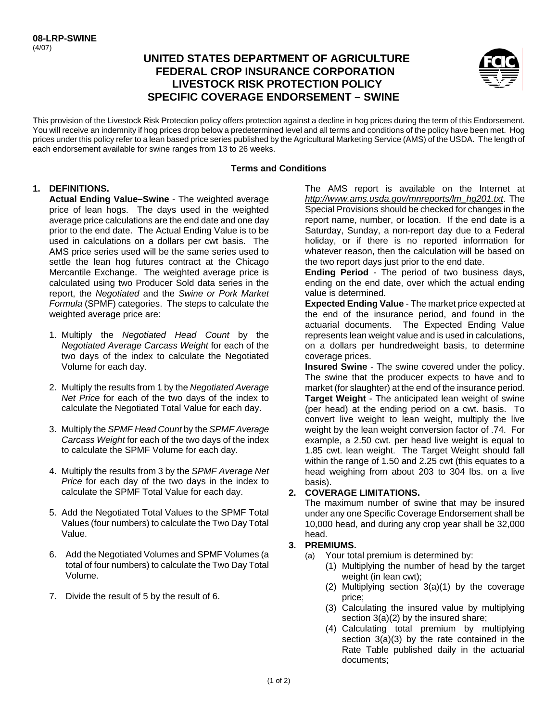# **UNITED STATES DEPARTMENT OF AGRICULTURE FEDERAL CROP INSURANCE CORPORATION LIVESTOCK RISK PROTECTION POLICY SPECIFIC COVERAGE ENDORSEMENT – SWINE**



 prices under this policy refer to a lean based price series published by the Agricultural Marketing Service (AMS) of the USDA. The length of This provision of the Livestock Risk Protection policy offers protection against a decline in hog prices during the term of this Endorsement. You will receive an indemnity if hog prices drop below a predetermined level and all terms and conditions of the policy have been met. Hog each endorsement available for swine ranges from 13 to 26 weeks.

#### **Terms and Conditions**

#### **1. DEFINITIONS.**

**Actual Ending Value–Swine** - The weighted average price of lean hogs. The days used in the weighted average price calculations are the end date and one day prior to the end date. The Actual Ending Value is to be used in calculations on a dollars per cwt basis. The AMS price series used will be the same series used to settle the lean hog futures contract at the Chicago Mercantile Exchange. The weighted average price is calculated using two Producer Sold data series in the report, the *Negotiated* and the *Swine or Pork Market Formula* (SPMF) categories. The steps to calculate the weighted average price are:

- 1. Multiply the *Negotiated Head Count* by the *Negotiated Average Carcass Weight* for each of the two days of the index to calculate the Negotiated Volume for each day.
- 2. Multiply the results from 1 by the *Negotiated Average Net Price* for each of the two days of the index to calculate the Negotiated Total Value for each day.
- 3. Multiply the *SPMF Head Count* by the *SPMF Average Carcass Weight* for each of the two days of the index to calculate the SPMF Volume for each day.
- 4. Multiply the results from 3 by the *SPMF Average Net Price* for each day of the two days in the index to calculate the SPMF Total Value for each day.
- 5. Add the Negotiated Total Values to the SPMF Total Values (four numbers) to calculate the Two Day Total Value.
- total of four numbers) to calculate the Two Day Total 6. Add the Negotiated Volumes and SPMF Volumes (a Volume.
- 7. Divide the result of 5 by the result of 6.

 Special Provisions should be checked for changes in the The AMS report is available on the Internet at *http://www.ams.usda.gov/mnreports/lm\_hg201.txt*. The report name, number, or location. If the end date is a Saturday, Sunday, a non-report day due to a Federal holiday, or if there is no reported information for whatever reason, then the calculation will be based on the two report days just prior to the end date.

**Ending Period** - The period of two business days, ending on the end date, over which the actual ending value is determined.

 represents lean weight value and is used in calculations, **Expected Ending Value** - The market price expected at the end of the insurance period, and found in the actuarial documents. The Expected Ending Value on a dollars per hundredweight basis, to determine coverage prices.

**Insured Swine** - The swine covered under the policy. The swine that the producer expects to have and to market (for slaughter) at the end of the insurance period. **Target Weight** - The anticipated lean weight of swine (per head) at the ending period on a cwt. basis. To convert live weight to lean weight, multiply the live weight by the lean weight conversion factor of .74. For example, a 2.50 cwt. per head live weight is equal to 1.85 cwt. lean weight. The Target Weight should fall within the range of 1.50 and 2.25 cwt (this equates to a head weighing from about 203 to 304 lbs. on a live basis).

## **2. COVERAGE LIMITATIONS.**

The maximum number of swine that may be insured under any one Specific Coverage Endorsement shall be 10,000 head, and during any crop year shall be 32,000 head.

## **3. PREMIUMS.**

- (a) Your total premium is determined by:
	- (1) Multiplying the number of head by the target weight (in lean cwt);
	- (2) Multiplying section 3(a)(1) by the coverage price;
	- (3) Calculating the insured value by multiplying section 3(a)(2) by the insured share;
	- (4) Calculating total premium by multiplying section 3(a)(3) by the rate contained in the Rate Table published daily in the actuarial documents;